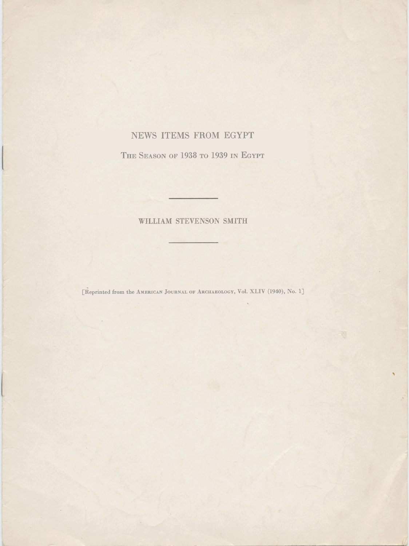## NEWS ITEMS FROM EGYPT

THE SEASON OF 1938 TO 1939 IN EGYPT

## **WILLIAM STEVENSON SMITH**

**[Reprinted from the AMERICAN JOURNAL OF ARCHAEOLOGY, Vol. XLIV (1940), No.1]**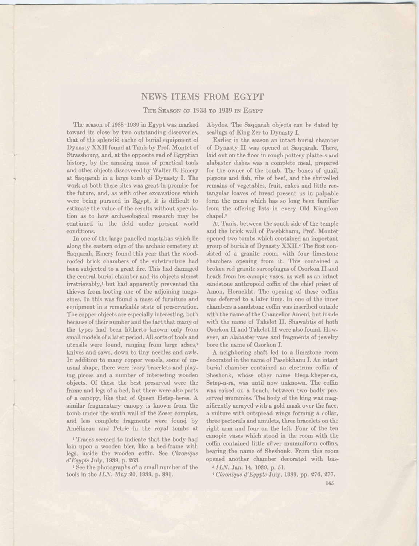## **NEWS ITEMS FROM EGYPT**

## **THE SEASON OF 1938 TO 1939 IN EGYPT**

toward its close by two outstanding discoveries, sealings of King Zer to Dynasty I. that of the splendid cache of burial equipment of Earlier in the season an intact burial chamber<br>Dynasty XXII found at Tanis by Prof. Montet of of Dynasty II was opened at Saqqarah. There, Dynasty XXII found at Tanis by Prof. Montet of of Dynasty II was opened at Saqqarah. There, Strassbourg, and, at the opposite end of Egyptian laid out on the floor in rough pottery platters and Strassbourg, and, at the opposite end of Egyptian laid out on the floor in rough pottery platters and history, by the amazing mass of practical tools alabaster dishes was a complete meal, prepared and other objects discovered by Walter B. Emery for the owner of the tomb. The bones of quail, at Saqqarah in a large tomb of Dynasty I. The pigeons and fish, ribs of beef, and the shrivelled<br>work at both these sites was great in promise for remains of vegetables, fruit, cakes and little recwork at both these sites was great in promise for remains of vegetables, fruit, cakes and little rec-<br>the future, and, as with other excavations which tangular loaves of bread present us in palpable were being pursued in Egypt, it is difficult to form the menu which has so long been familiar estimate the value of the results without specula- from the offering lists in every Old Kingdom tion as to how archaeological research may be chapel.3 continued in the field under present world At Tanis, between the south side of the temple

along the eastern edge of the archaic cemetery at group of burials of Dynasty XXII.<sup>4</sup> The first con-Saqqarah, Emery found this year that the wood- sisted of a granite room, with four limestone roofed brick chambers of the substructure had chambers opening from it. This contained a been subjected to a great fire. This had damaged broken red granite sarcophagus of Osorkon II and the central burial chamber and its objects almost heads from his canopic vases, **as** well as an intact irretrievably,<sup>1</sup> but had apparently prevented the sandstone anthropoid coffin of the chief priest of thieves from looting one of the adjoining maga- Amon, Hornekht. The opening of these coffins zines. In this was found a mass of furniture and was deferred to a later time. In one of the inner equipment in a remarkable state of preservation. chambers a sandstone coffin was inscribed outside The copper objects are especially interesting, both with the name of the Chancellor Ameni, but inside because of their number and the fact that many of with the name of Takelot II. Shawabtis of both the types had been hitherto known only from Osorkon II and Takelot II were also found. Howthe types had been hitherto known only from small models of a later period. All sorts of tools and ever, an alabaster vase and fragments of jewelry utensils were found, ranging from large adzes,<sup>2</sup> bore the name of Osorkon I.<br>knives and saws, down to tiny needles and awls. A neighboring shaft led to a limestone room knives and saws, down to tiny needles and awls. In addition to many copper vessels, some of un-<br>usual shape, there were ivory bracelets and play-<br>burial chamber contained an electrum coffin of ing pieces and a number of interesting wooden Sheshonk, whose other name Heqa-kheper-ra, objects. Of these the best preserved were the Setep-n-ra, was until now unknown. The coffin frame and legs of a bed, but there were also parts was raised on **a** bench, between two badly preof a canopy, like that of Queen Hetep-heres. A served mummies. The body of the king was magsimilar fragmentary canopy is known from the nificently arrayed with a gold mask over the face, tomb under the south wall of the Zoser complex, a vulture with outspread wings forming *a* collar, and less complete fragments were found by three pectorals and amulets, three bracelets on the

lain upon a wooden bier, like a bed-frame with communicantum contained little silver mumminorm commis,<br>legs inside the wooden coffin See Chronique bearing the name of Sheshonk. From this room legs, inside the wooden coffin. See *Chronique d'Egypte* July, **1939,** p. **263.** opened another chamber decorated with bas-

*²* See the photographs of a small number of the **³** ILN. Jan. 14, **1939,** p. **51.**  tools in the ZLN. May **20, 1939,** p. **891. 4** *Chronique d'Egypte* July, **1939,** pp. **276, 277.** 

The season of **1938-1939** in Egypt was marked Abydos. The Saqqarah objects can be dated by

alabaster dishes was a complete meal, prepared tangular loaves of bread present us in palpable

conditions. and the brick wall of Pasebkhanu, Prof. Montet opened two tombs which contained an important

burial chamber contained an electrum coffin of Amélineau and Petrie in the royal tombs at right arm and four on the left. Four of the ten <sup>1</sup> Traces seemed to indicate that the body had canopic vases which stood in the room with the room is a procedure bine of the contained little silver mummiform coffins,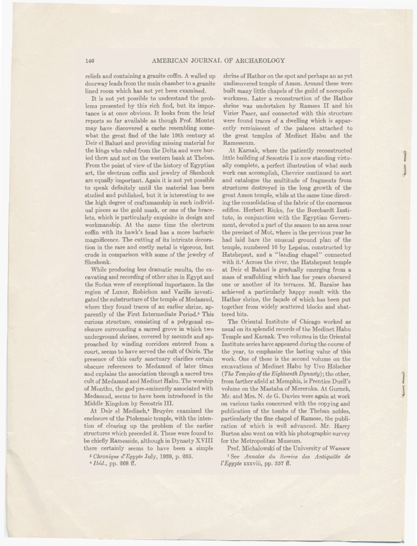reliefs and containing a granite coffin. A walled up doorway leads from the main chamber to a granite lined room which has not yet been examined.

It is not yet possible to understand the problems presented by this rich find, but its importance is at once obvious. It looks from the brief reports **so** far available as though Prof. Montet may have discovered a cache resembling somewhat the great find of the late 19th century at Deir el Bahari and providing missing material for the kings who ruled from the Delta and were buried there and not on the western bank at Thebes. From the point of view of the history of Egyptian art, the electrum coffin and jewelry of Sheshonk are equally important. Again it is not yet possible to speak definitely until the material **has** been studied and published, but it is interesting to see the high degree of craftsmanship in such individual pieces **as** the gold mask, or one of the bracelets, which is particularly exquisite in design and workmanship. At the same time the electrum coffin with its hawk's head has a more barbaric magnificence. The cutting of its intricate decoration in the rare and costly metal is vigorous, but crude in comparison with some of the jewelry of Sheshonk.

While producing less dramatic results, the excavating and recording of other sites in Egypt and the Sudan were of exceptional importance. In the region of Luxor, Robichon and Varille investigated the substructure of the temple of Medamud, where they found traces of **an** earlier shrine, apparently of the First Intermediate Period.<sup>5</sup> This curious structure, consisting of a polygonal enclosure surrounding a sacred grove in which two underground shrines, covered by mounds and approached by winding corridors entered from a court, seems to have served the cult of Osiris. The presence of this early sanctuary clarifies certain obscure references to Medamud of later times and explains the association through a sacred tree cult of Medamud and Medinet Habu. The worship of Monthu, the god pre-eminently associated with Medamud, seems to have been introduced in the Middle Kingdom by Sesostris 111.

At Deir el Medineh,<sup>6</sup> Bruyére examined the enclosure of the Ptolemaic temple, with the intention of clearing up the problem of the earlier structures which preceded it. These were found to be chiefly Ramesside, although in Dynasty XVIII there certainly seems to have been a simple

shrine of Hathor on the spot and perhaps an as yet undiscovered temple of Amon. Around these were built many little chapels of the guild of necropolis workmen. Later a reconstruction of the Hathor shrine was undertaken by Ramses II and his Vizier Paser, and connected with this structure were found traces of a dwelling which is apparently reminiscent of the palaces attached to the great temples of Medinet Habu and the Ramesseum.

At Karnak, where the patiently reconstructed little building of Sesostris I is now standing virtually complete, a perfect illustration of what such work can accomplish, Chevrier continued to sort and catalogue the multitude of fragments from structures destroyed in the long growth of the great Amon temple, while at the same time directing the consolidation of the fabric of the enormous edifice. Herbert Ricke, for the Borchardt Institute, in conjunction with the Egyptian Government, devoted a part of the season to **an** area near the precinct of Mut, where in the previous year he had laid bare the unusual ground plan of the temple, numbered 16 by Lepsius, constructed by Hatshepsut, and a "landing chapel" connected with it.<sup>7</sup> Across the river, the Hatshepsut temple at Deir el Bahari is gradually emerging from a mass of scaffolding which has for years obscured one or another of its terraces. M. Baraize has achieved a particularly happy result with the Hathor shrine, the façade of which has been put together from widely scattered blocks and shattered bits.

The Oriental Institute of Chicago worked **as**  usual on its splendid records of the Medinet Habu Temple and Karnak. Two volumes in the Oriental Institute series have appeared during the course of the year, to emphasize the lasting value of this work. One of these is the second volume on the excavations of Medinet Habu by Uvo Holscher *(The Temples of the Eighteenth Dynasty)* ; the other, from farther afield at Memphis, is Prentice Duell's volume on the Mastaba of Mereruka. At Gurneh, Mr. and Mrs. N. de G. Davies were again at work on various tasks concerned with the copying and publication of the tombs of the Theban nobles, particularly the fine chapel of Ramose, the publication of which is well advanced. Mr. Harry Burton also went on with his photographic survey for the Metropolitan Museum.

Prof. Michalowski of the University of Warsaw **<sup>5</sup>***Chronique d'Egypte* July, 1939, p. 965. **7** See *Annales du* Service *des Antiquités de*  **<sup>6</sup>***Ibid.,* pp. 968 ff. *I'Egypte* xxxviii, pp. **357 ff.**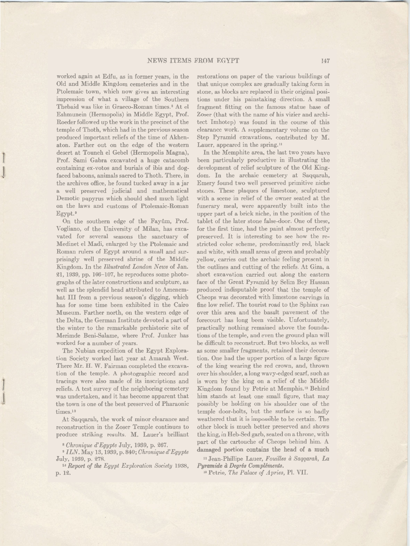worked again at Edfu, as in former years, in the restorations on paper of the various buildings of Old and Middle Kingdom cemeteries and in the that unique complex are gradually taking form in Ptolemaic town, which now gives an interesting impression of what a village of the Southern tions under his painstaking direction. A small Thebaid was like in Graeco-Roman times.<sup>8</sup> At el Eshmunein (Hermopolis) in Middle Egypt, Prof. Roeder followed up the work in the precinct of the tect Imhotep) was found in the course of this temple of Thoth, which had in the previous season clearance work. A supplementary volume on the produced important reliefs of the time of Akhen-Step Pyramid excavations, contributed by M. aton. Farther out on the edge of the western Lauer, appeared in the spring.<sup>11</sup><br>desert at Touneh el Gebel (Hermopolis Magna), In the Memphite area, the last two years have desert at Touneh el Gebel (Hermopolis Magna), In the Memphite area, the last two years have<br>Prof. Sami Gabra excavated a huge catacomb been particularly productive in illustrating the Prof. Sami Gabra excavated a huge catacomb containing ex-votos and burials of ibis and dogcontaining ex-votos and burials of ibis and dog-<br>
faced baboons, animals sacred to Thoth, There, in dom. In the archaic cemetery at Saqqarah, faced baboons, animals sacred to Thoth. There, in dom. In the archaic cemetery at Saqqarah, the archives office, he found tucked away in a jar Emery found two well preserved primitive niche a well preserved judicial and mathematical Demotic papyrus which should shed much light on the laws and customs of Ptolemaic-Roman Egypt.<sup>9</sup>

On the southern edge of the Fayûm, Prof.<br>Vogliano, of the University of Milan, has excavated for several seasons the sanctuary of Medinet el Madi, enlarged by the Ptolemaic and Roman rulers of Egypt around a small and sur-<br>
prisingly well preserved shrine of the Middle Kingdom. In the *Illustrated London News* of Jan. the outlines and cutting of the reliefs. At Giza, a<br>21. 1939. pp. 106–107. he reproduces some photo-<br>short excavation carried out along the eastern **21, 1939,** pp. **106-107,** he reproduces some photo- short excavation carried out along the eastern graphs of the later constructions and sculpture, as well as the splendid head attributed to Amenem- produced indisputable proof that the temple of hat III from a previous season's digging, which Cheops was decorated with limestone carvings in has for some time been exhibited in the Cairo fine low relief. The tourist road to the Sphinx ran has for some time been exhibited in the Cairo Museum. Farther north, on the western edge of over this area and the basalt pavement of the the Delta, the German Institute devoted a part of forecourt has long been visible. Unfortunately, the winter to the remarkable prehistoric site of practically nothing remained above the foundathe winter to the remarkable prehistoric site of Merimde Beni-Salame, where Prof. Junker has tions of the temple, and even the ground plan will

The Nubian expedition of the Egypt Exploration Society worked last year at Amarah West. tion. One had the upper portion of a large figure There Mr. H. W. Fairman completed the excava- of the king wearing the red crown, and, thrown tion of the temple. A photographic record and over his shoulder, a long wavy-edged scarf, such as<br>tracings were also made of its inscriptions and is worn by the king on a relief of the Middle tracings were also made of its inscriptions and reliefs. A test survey of the neighboring cemetery Kingdom found by Petrie at Memphis.<sup>12</sup> Behind<br>was undertaken, and it has become apparent that him stands at least one small figure, that may was undertaken, and it has become apparent that him stands at least one small figure, that may the town is one of the best preserved of Pharaonic possibly be holding on his shoulder one of the the town is one of the best preserved of Pharaonic times.<sup>10</sup> temple door-bolts, but the surface is so badly

reconstruction in the Zoser Temple continues to other block is much better preserved and shows produce striking results. M. Lauer's brilliant the king, in Heb-Sed garb, seated on a throne, with

<sup>8</sup>*Chronique d'Egypte* July, **1939,** p. **267.** 

July, **1939,** p. 278.

p. **12.**  <sup>10</sup> *Report of the Egypt Exploration Society* 1938, that unique complex are gradually taking form in stone, as blocks are replaced in their original posi-Zoser (that with the name of his vizier and archi-Step Pyramid excavations, contributed by M.<br>Lauer, appeared in the spring.<sup>11</sup>

Emery found two well preserved primitive niche<br>stones. These plaques of limestone, sculptured with a scene in relief of the owner seated at the funerary meal, were apparently built into the upper part of a brick niche, in the position of the tablet of the later stone false-door. One of these, for the first time, had the paint almost perfectly preserved. It is interesting to see how the restricted color scheme, predominantly red, black<br>and white, with small areas of green and probably yellow, carries out the archaic feeling present in worked for a number of years.<br>
be difficult to reconstruct. But two blocks, as well<br>
The Nubian expedition of the Egypt Explora-<br>
as some smaller fragments, retained their decora-At Saqqarah, the work of minor clearance and weathered that it is impossible to be certain. The part of the cartouche of Cheops behind him. A **<sup>9</sup>***ILN.* May **13, 1939,** p. **840;** *Chronique d'Egypte* damaged portion contains the head of a much

11 Jean-Phillipe Lauer, *Fouilles à Saqqarah, La* 

**<sup>12</sup>**Petrie, *The Palace* of *Apries,* Pl. VII.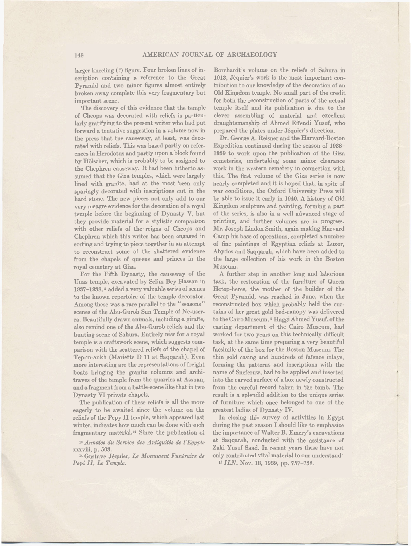larger kneeling **(?)** figure. Four broken lines of in- Borchardt's volume on the reliefs of Sahura in broken away complete this very fragmentary but

forward a tentative suggestion in a volume now in prepared the plates under Jéquier's direction.<br>the press that the causeway, at least, was deco- Dr. George A. Reisner and the Harvard-Boston the press that the causeway, at least, was decorated with reliefs. This was based partly on refer- Expedition continued during the season of **1938**  ences in Herodotus and partly upon a block found by Holscher, which is probably to be assigned to cemeteries, undertaking some minor clearance the Chephren causeway. It had been hitherto as-<br>sure work in the western cemetery in connection with<br>sured that the Giza temples, which were largely<br>this. The first volume of the Giza series is now sumed that the Giza temples, which were largely lined with granite, had at the most been only nearly completed and it is hoped that, in spite of sparingly decorated with inscriptions cut in the war conditions, the Oxford University Press will sparingly decorated with inscriptions cut in the hard stone. The new pieces not only add to our be able to issue it early in **1940.** A history **of** Old very meagre evidence for the decoration of a royal Kingdom sculpture and painting, forming a part temple before the beginning of Dynasty V, but of the series, is also in a well advanced stage of they provide material for a stylistic comparison printing, and further volumes are in progress.<br>with other reliefs of the reigns of Cheops and Mr. Joseph Lindon Smith, again making Harvard with other reliefs of the reigns of Cheops and Chephren which this writer has been engaged in Camp his base of operations, completed **a** number sorting and trying to piece together in an attempt of fine paintings of Egyptian reliefs at **Luxor,**  to reconstruct some of the shattered evidence Abydos and Saqqarah, which have been added to from the chapels of queens and princes in the the large collection of his work in the Boston royal cemetery at Giza. Museum.

Unas temple, excavated by Selim Bey Hassan in **1937-1938,"** added a very valuable series of scenes Hetep-heres, the mother of the builder of the to the known repertoire of the temple decorator. Among these was a rare parallel to the "seasons" reconstructed box which probably held the curscenes of the Abu-Gurob Sun Temple of Ne-user- tains of her great gold bed-canopy was delivered ra. Beautifully drawn animals, including a giraffe, to the Cairo Museum. 15 Haggi Ahmed Yusuf, of the hunting scene of Sahura. Entirely new for a royal worked for two years on this technically difficult temple is a craftswork scene, which suggests com- task, at the same time preparing a very beautiful parison with the scattered reliefs of the chapel of facsimile of the box for the Boston Museum. The Tep-m-ankh (Mariette D **11** at Saqqarah). Even thin gold casing and hundreds of faience inlays, more interesting are the representations of freight forming the patterns and inscriptions with the boats bringing the granite columns and archi- name of Sneferuw, had to be applied and inserted traves of the temple from the quarries at Assuan, into the carved surface of a box newly constructed and **a** fragment from a battle-scene like that in two from the careful record taken in the tomb. The

eagerly to be awaited since the volume on the greatest ladies of Dynasty IV. reliefs of the Pepy II temple, which appeared last In closing this survey of activities in Egypt winter, indicates how much can be done with such during the past season I should like to emphasize winter, indicates how much can be done with such during the past season I should like to emphasize fragmentary material.<sup>14</sup> Since the publication of the importance of Walter B. Emery's excavations

<sup>14</sup> Gustave Jéquier, *Le Monument Funéraire de Pepi II, Le Temple. "ILN.* NOV. **18, 1939,** pp. **757-758.** 

scription containing a reference to the Great **1913,** Jéquier's work is the most important con-Pyramid and two minor figures almost entirely tribution to our knowledge of the decoration of an<br>broken away complete this very fragmentary but Old Kingdom temple. No small part of the credit important scene. for both the reconstruction of parts of the actual The discovery of this evidence that the temple temple itself and its publication is due to the of Cheops was decorated with reliefs is particu- clever assembling of material and excellent larly gratifying to the present writer who had put draughtsmanship of Ahmed Effendi Yusuf, who

For the Fifth Dynasty, the causeway of the A further step in another long and laborious has temple, excavated by Selim Bey Hassan in task, the restoration of the furniture of Queen casting department of the Cairo Museum, had Dynasty VI private chapels.<br>The publication of these reliefs is all the more of furniture which once belonged to one of the of furniture which once belonged to one of the

the importance of Walter B. Emery's excavations **<sup>13</sup>***Annales du Service des Antiquités de l'Egypte* at Saqqarah, conducted with the assistance of xxxviii, p. 503.<br>
<sup>24</sup> Xaki Yusuf Saad. In recent years these have not<br>
<sup>14</sup> Gustave Jéquier. *Le Monument Funéraire de* only contributed vital material to our understand